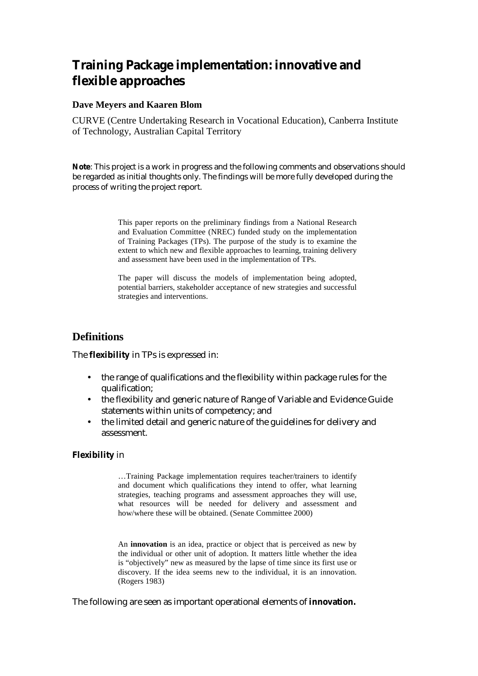# **Training Package implementation: innovative and flexible approaches**

#### **Dave Meyers and Kaaren Blom**

CURVE (Centre Undertaking Research in Vocational Education), Canberra Institute of Technology, Australian Capital Territory

**Note**: This project is a work in progress and the following comments and observations should be regarded as initial thoughts only. The findings will be more fully developed during the process of writing the project report.

> This paper reports on the preliminary findings from a National Research and Evaluation Committee (NREC) funded study on the implementation of Training Packages (TPs). The purpose of the study is to examine the extent to which new and flexible approaches to learning, training delivery and assessment have been used in the implementation of TPs.

> The paper will discuss the models of implementation being adopted, potential barriers, stakeholder acceptance of new strategies and successful strategies and interventions.

### **Definitions**

The **flexibility** in TPs is expressed in:

- the range of qualifications and the flexibility within package rules for the qualification;
- the flexibility and generic nature of Range of Variable and Evidence Guide statements within units of competency; and
- the limited detail and generic nature of the guidelines for delivery and assessment.

#### **Flexibility** in

…Training Package implementation requires teacher/trainers to identify and document which qualifications they intend to offer, what learning strategies, teaching programs and assessment approaches they will use, what resources will be needed for delivery and assessment and how/where these will be obtained. (Senate Committee 2000)

An **innovation** is an idea, practice or object that is perceived as new by the individual or other unit of adoption. It matters little whether the idea is "objectively" new as measured by the lapse of time since its first use or discovery. If the idea seems new to the individual, it is an innovation. (Rogers 1983)

The following are seen as important operational elements of **innovation.**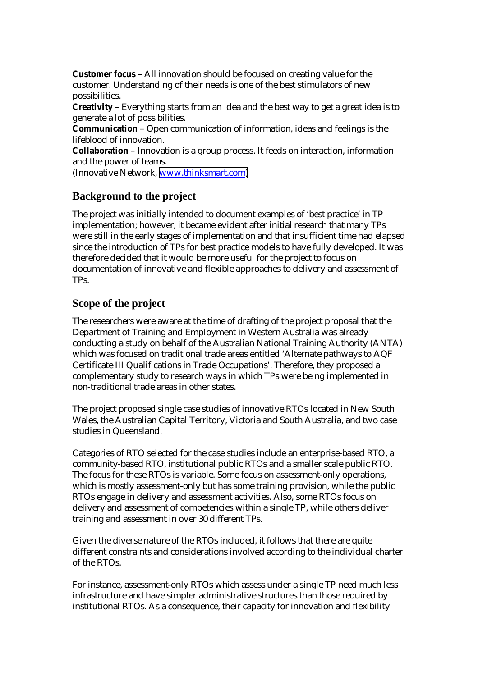**Customer focus** – All innovation should be focused on creating value for the customer. Understanding of their needs is one of the best stimulators of new possibilities.

**Creativity** – Everything starts from an idea and the best way to get a great idea is to generate a lot of possibilities.

**Communication** – Open communication of information, ideas and feelings is the lifeblood of innovation.

**Collaboration** – Innovation is a group process. It feeds on interaction, information and the power of teams.

(Innovative Network, [www.thinksmart.com\)](http://www.thinksmart.com/)

# **Background to the project**

The project was initially intended to document examples of 'best practice' in TP implementation; however, it became evident after initial research that many TPs were still in the early stages of implementation and that insufficient time had elapsed since the introduction of TPs for best practice models to have fully developed. It was therefore decided that it would be more useful for the project to focus on documentation of innovative and flexible approaches to delivery and assessment of TPs.

### **Scope of the project**

The researchers were aware at the time of drafting of the project proposal that the Department of Training and Employment in Western Australia was already conducting a study on behalf of the Australian National Training Authority (ANTA) which was focused on traditional trade areas entitled 'Alternate pathways to AQF Certificate III Qualifications in Trade Occupations'. Therefore, they proposed a complementary study to research ways in which TPs were being implemented in non-traditional trade areas in other states.

The project proposed single case studies of innovative RTOs located in New South Wales, the Australian Capital Territory, Victoria and South Australia, and two case studies in Queensland.

Categories of RTO selected for the case studies include an enterprise-based RTO, a community-based RTO, institutional public RTOs and a smaller scale public RTO. The focus for these RTOs is variable. Some focus on assessment-only operations, which is mostly assessment-only but has some training provision, while the public RTOs engage in delivery and assessment activities. Also, some RTOs focus on delivery and assessment of competencies within a single TP, while others deliver training and assessment in over 30 different TPs.

Given the diverse nature of the RTOs included, it follows that there are quite different constraints and considerations involved according to the individual charter of the RTOs.

For instance, assessment-only RTOs which assess under a single TP need much less infrastructure and have simpler administrative structures than those required by institutional RTOs. As a consequence, their capacity for innovation and flexibility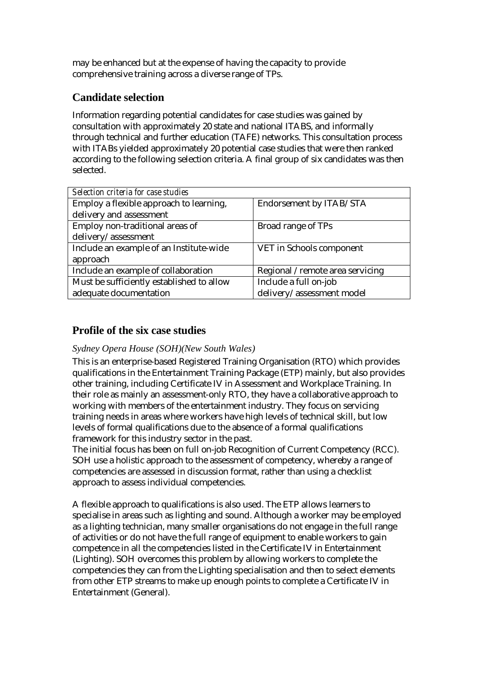may be enhanced but at the expense of having the capacity to provide comprehensive training across a diverse range of TPs.

# **Candidate selection**

Information regarding potential candidates for case studies was gained by consultation with approximately 20 state and national ITABS, and informally through technical and further education (TAFE) networks. This consultation process with ITABs yielded approximately 20 potential case studies that were then ranked according to the following selection criteria. A final group of six candidates was then selected.

| Selection criteria for case studies       |                                 |
|-------------------------------------------|---------------------------------|
| Employ a flexible approach to learning,   | Endorsement by ITAB/STA         |
| delivery and assessment                   |                                 |
| Employ non-traditional areas of           | Broad range of TPs              |
| delivery/assessment                       |                                 |
| Include an example of an Institute-wide   | VET in Schools component        |
| approach                                  |                                 |
| Include an example of collaboration       | Regional /remote area servicing |
| Must be sufficiently established to allow | Include a full on-job           |
| adequate documentation                    | delivery/assessment model       |

# **Profile of the six case studies**

### *Sydney Opera House (SOH)(New South Wales)*

This is an enterprise-based Registered Training Organisation (RTO) which provides qualifications in the Entertainment Training Package (ETP) mainly, but also provides other training, including Certificate IV in Assessment and Workplace Training. In their role as mainly an assessment-only RTO, they have a collaborative approach to working with members of the entertainment industry. They focus on servicing training needs in areas where workers have high levels of technical skill, but low levels of formal qualifications due to the absence of a formal qualifications framework for this industry sector in the past.

The initial focus has been on full on-job Recognition of Current Competency (RCC). SOH use a holistic approach to the assessment of competency, whereby a range of competencies are assessed in discussion format, rather than using a checklist approach to assess individual competencies.

A flexible approach to qualifications is also used. The ETP allows learners to specialise in areas such as lighting and sound. Although a worker may be employed as a lighting technician, many smaller organisations do not engage in the full range of activities or do not have the full range of equipment to enable workers to gain competence in all the competencies listed in the Certificate IV in Entertainment (Lighting). SOH overcomes this problem by allowing workers to complete the competencies they can from the Lighting specialisation and then to select elements from other ETP streams to make up enough points to complete a Certificate IV in Entertainment (General).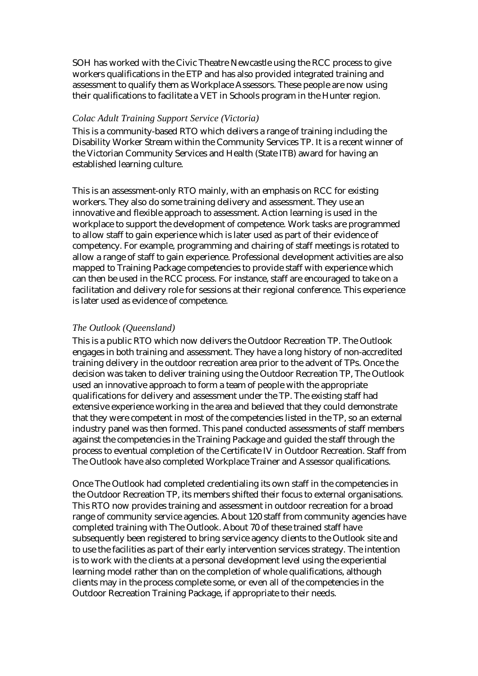SOH has worked with the Civic Theatre Newcastle using the RCC process to give workers qualifications in the ETP and has also provided integrated training and assessment to qualify them as Workplace Assessors. These people are now using their qualifications to facilitate a VET in Schools program in the Hunter region.

#### *Colac Adult Training Support Service (Victoria)*

This is a community-based RTO which delivers a range of training including the Disability Worker Stream within the Community Services TP. It is a recent winner of the Victorian Community Services and Health (State ITB) award for having an established learning culture.

This is an assessment-only RTO mainly, with an emphasis on RCC for existing workers. They also do some training delivery and assessment. They use an innovative and flexible approach to assessment. Action learning is used in the workplace to support the development of competence. Work tasks are programmed to allow staff to gain experience which is later used as part of their evidence of competency. For example, programming and chairing of staff meetings is rotated to allow a range of staff to gain experience. Professional development activities are also mapped to Training Package competencies to provide staff with experience which can then be used in the RCC process. For instance, staff are encouraged to take on a facilitation and delivery role for sessions at their regional conference. This experience is later used as evidence of competence.

#### *The Outlook (Queensland)*

This is a public RTO which now delivers the Outdoor Recreation TP. The Outlook engages in both training and assessment. They have a long history of non-accredited training delivery in the outdoor recreation area prior to the advent of TPs. Once the decision was taken to deliver training using the Outdoor Recreation TP, The Outlook used an innovative approach to form a team of people with the appropriate qualifications for delivery and assessment under the TP. The existing staff had extensive experience working in the area and believed that they could demonstrate that they were competent in most of the competencies listed in the TP, so an external industry panel was then formed. This panel conducted assessments of staff members against the competencies in the Training Package and guided the staff through the process to eventual completion of the Certificate IV in Outdoor Recreation. Staff from The Outlook have also completed Workplace Trainer and Assessor qualifications.

Once The Outlook had completed credentialing its own staff in the competencies in the Outdoor Recreation TP, its members shifted their focus to external organisations. This RTO now provides training and assessment in outdoor recreation for a broad range of community service agencies. About 120 staff from community agencies have completed training with The Outlook. About 70 of these trained staff have subsequently been registered to bring service agency clients to the Outlook site and to use the facilities as part of their early intervention services strategy. The intention is to work with the clients at a personal development level using the experiential learning model rather than on the completion of whole qualifications, although clients may in the process complete some, or even all of the competencies in the Outdoor Recreation Training Package, if appropriate to their needs.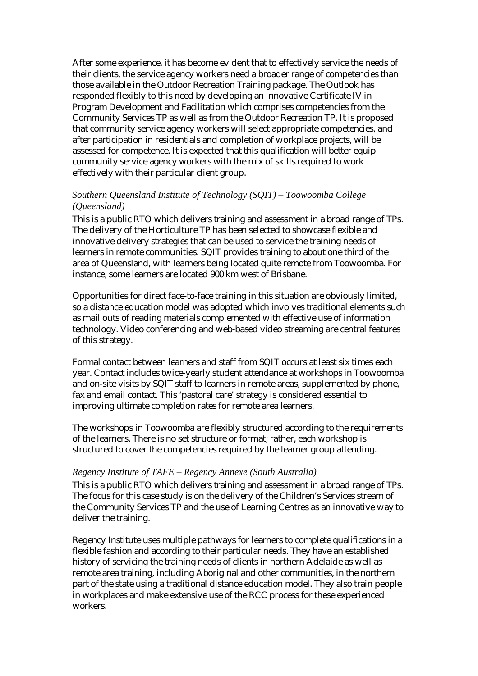After some experience, it has become evident that to effectively service the needs of their clients, the service agency workers need a broader range of competencies than those available in the Outdoor Recreation Training package. The Outlook has responded flexibly to this need by developing an innovative Certificate IV in Program Development and Facilitation which comprises competencies from the Community Services TP as well as from the Outdoor Recreation TP. It is proposed that community service agency workers will select appropriate competencies, and after participation in residentials and completion of workplace projects, will be assessed for competence. It is expected that this qualification will better equip community service agency workers with the mix of skills required to work effectively with their particular client group.

#### *Southern Queensland Institute of Technology (SQIT) – Toowoomba College (Queensland)*

This is a public RTO which delivers training and assessment in a broad range of TPs. The delivery of the Horticulture TP has been selected to showcase flexible and innovative delivery strategies that can be used to service the training needs of learners in remote communities. SQIT provides training to about one third of the area of Queensland, with learners being located quite remote from Toowoomba. For instance, some learners are located 900 km west of Brisbane.

Opportunities for direct face-to-face training in this situation are obviously limited, so a distance education model was adopted which involves traditional elements such as mail outs of reading materials complemented with effective use of information technology. Video conferencing and web-based video streaming are central features of this strategy.

Formal contact between learners and staff from SQIT occurs at least six times each year. Contact includes twice-yearly student attendance at workshops in Toowoomba and on-site visits by SQIT staff to learners in remote areas, supplemented by phone, fax and email contact. This 'pastoral care' strategy is considered essential to improving ultimate completion rates for remote area learners.

The workshops in Toowoomba are flexibly structured according to the requirements of the learners. There is no set structure or format; rather, each workshop is structured to cover the competencies required by the learner group attending.

#### *Regency Institute of TAFE – Regency Annexe (South Australia)*

This is a public RTO which delivers training and assessment in a broad range of TPs. The focus for this case study is on the delivery of the Children's Services stream of the Community Services TP and the use of Learning Centres as an innovative way to deliver the training.

Regency Institute uses multiple pathways for learners to complete qualifications in a flexible fashion and according to their particular needs. They have an established history of servicing the training needs of clients in northern Adelaide as well as remote area training, including Aboriginal and other communities, in the northern part of the state using a traditional distance education model. They also train people in workplaces and make extensive use of the RCC process for these experienced workers.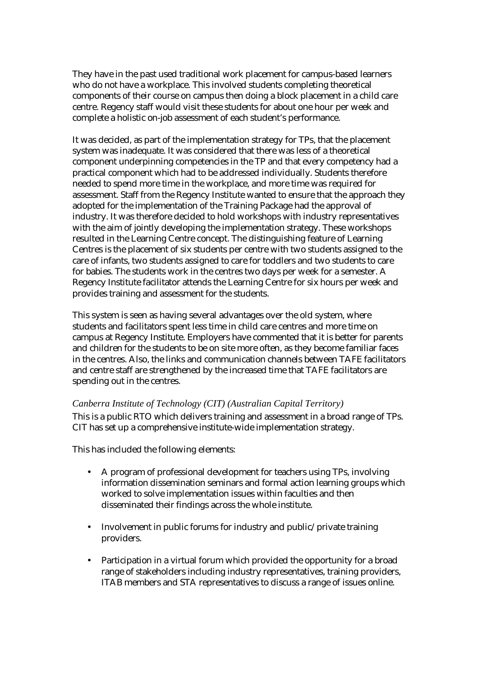They have in the past used traditional work placement for campus-based learners who do not have a workplace. This involved students completing theoretical components of their course on campus then doing a block placement in a child care centre. Regency staff would visit these students for about one hour per week and complete a holistic on-job assessment of each student's performance.

It was decided, as part of the implementation strategy for TPs, that the placement system was inadequate. It was considered that there was less of a theoretical component underpinning competencies in the TP and that every competency had a practical component which had to be addressed individually. Students therefore needed to spend more time in the workplace, and more time was required for assessment. Staff from the Regency Institute wanted to ensure that the approach they adopted for the implementation of the Training Package had the approval of industry. It was therefore decided to hold workshops with industry representatives with the aim of jointly developing the implementation strategy. These workshops resulted in the Learning Centre concept. The distinguishing feature of Learning Centres is the placement of six students per centre with two students assigned to the care of infants, two students assigned to care for toddlers and two students to care for babies. The students work in the centres two days per week for a semester. A Regency Institute facilitator attends the Learning Centre for six hours per week and provides training and assessment for the students.

This system is seen as having several advantages over the old system, where students and facilitators spent less time in child care centres and more time on campus at Regency Institute. Employers have commented that it is better for parents and children for the students to be on site more often, as they become familiar faces in the centres. Also, the links and communication channels between TAFE facilitators and centre staff are strengthened by the increased time that TAFE facilitators are spending out in the centres.

#### *Canberra Institute of Technology (CIT) (Australian Capital Territory)*

This is a public RTO which delivers training and assessment in a broad range of TPs. CIT has set up a comprehensive institute-wide implementation strategy.

This has included the following elements:

- A program of professional development for teachers using TPs, involving information dissemination seminars and formal action learning groups which worked to solve implementation issues within faculties and then disseminated their findings across the whole institute.
- Involvement in public forums for industry and public/private training providers.
- Participation in a virtual forum which provided the opportunity for a broad range of stakeholders including industry representatives, training providers, ITAB members and STA representatives to discuss a range of issues online.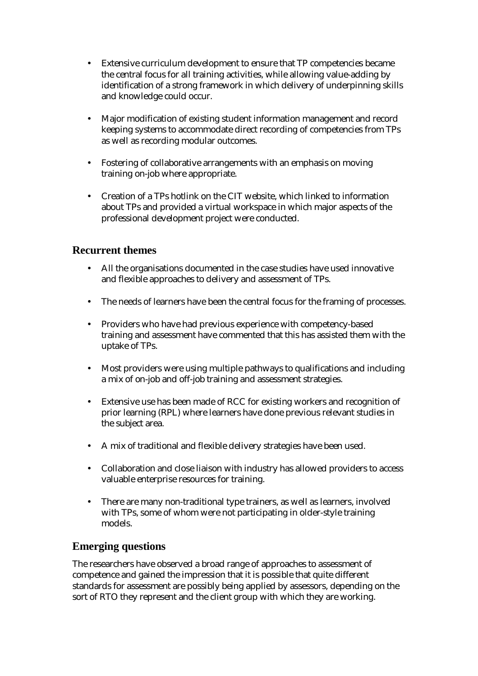- Extensive curriculum development to ensure that TP competencies became the central focus for all training activities, while allowing value-adding by identification of a strong framework in which delivery of underpinning skills and knowledge could occur.
- Major modification of existing student information management and record keeping systems to accommodate direct recording of competencies from TPs as well as recording modular outcomes.
- Fostering of collaborative arrangements with an emphasis on moving training on-job where appropriate.
- Creation of a TPs hotlink on the CIT website, which linked to information about TPs and provided a virtual workspace in which major aspects of the professional development project were conducted.

# **Recurrent themes**

- All the organisations documented in the case studies have used innovative and flexible approaches to delivery and assessment of TPs.
- The needs of learners have been the central focus for the framing of processes.
- Providers who have had previous experience with competency-based training and assessment have commented that this has assisted them with the uptake of TPs.
- Most providers were using multiple pathways to qualifications and including a mix of on-job and off-job training and assessment strategies.
- Extensive use has been made of RCC for existing workers and recognition of prior learning (RPL) where learners have done previous relevant studies in the subject area.
- A mix of traditional and flexible delivery strategies have been used.
- Collaboration and close liaison with industry has allowed providers to access valuable enterprise resources for training.
- There are many non-traditional type trainers, as well as learners, involved with TPs, some of whom were not participating in older-style training models.

# **Emerging questions**

The researchers have observed a broad range of approaches to assessment of competence and gained the impression that it is possible that quite different standards for assessment are possibly being applied by assessors, depending on the sort of RTO they represent and the client group with which they are working.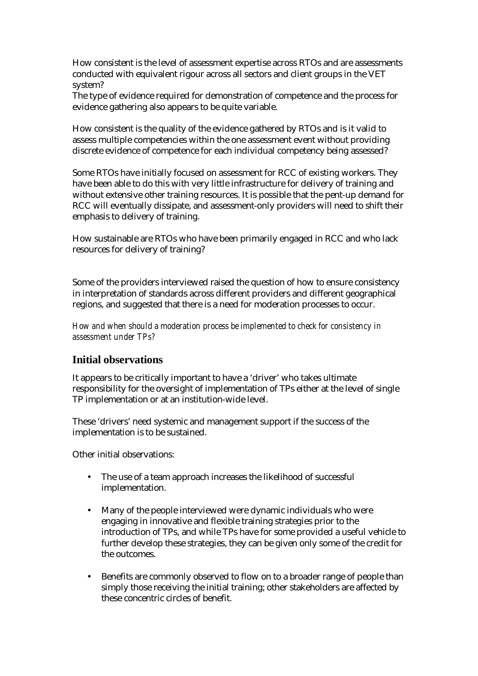How consistent is the level of assessment expertise across RTOs and are assessments conducted with equivalent rigour across all sectors and client groups in the VET system?

The type of evidence required for demonstration of competence and the process for evidence gathering also appears to be quite variable.

How consistent is the quality of the evidence gathered by RTOs and is it valid to assess multiple competencies within the one assessment event without providing discrete evidence of competence for each individual competency being assessed?

Some RTOs have initially focused on assessment for RCC of existing workers. They have been able to do this with very little infrastructure for delivery of training and without extensive other training resources. It is possible that the pent-up demand for RCC will eventually dissipate, and assessment-only providers will need to shift their emphasis to delivery of training.

How sustainable are RTOs who have been primarily engaged in RCC and who lack resources for delivery of training?

Some of the providers interviewed raised the question of how to ensure consistency in interpretation of standards across different providers and different geographical regions, and suggested that there is a need for moderation processes to occur.

*How and when should a moderation process be implemented to check for consistency in assessment under TPs?* 

# **Initial observations**

It appears to be critically important to have a 'driver' who takes ultimate responsibility for the oversight of implementation of TPs either at the level of single TP implementation or at an institution-wide level.

These 'drivers' need systemic and management support if the success of the implementation is to be sustained.

Other initial observations:

- The use of a team approach increases the likelihood of successful implementation.
- Many of the people interviewed were dynamic individuals who were engaging in innovative and flexible training strategies prior to the introduction of TPs, and while TPs have for some provided a useful vehicle to further develop these strategies, they can be given only some of the credit for the outcomes.
- Benefits are commonly observed to flow on to a broader range of people than simply those receiving the initial training; other stakeholders are affected by these concentric circles of benefit.